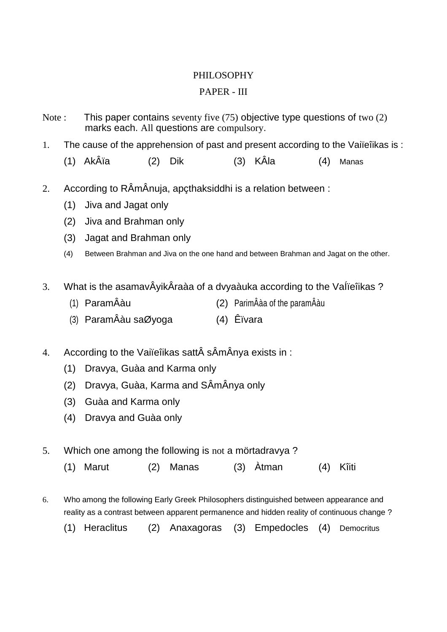## PHILOSOPHY

## PAPER - III

- Note : This paper contains seventy five (75) objective type questions of two (2) marks each. All questions are compulsory.
- 1. The cause of the apprehension of past and present according to the Vaiïeîikas is :
	- (1) AkÂïa (2) Dik (3) KÂla (4) Manas
- 2. According to RÂmÂnuja, apçthaksiddhi is a relation between :
	- (1) Jiva and Jagat only
	- (2) Jiva and Brahman only
	- (3) Jagat and Brahman only
	- (4) Between Brahman and Jiva on the one hand and between Brahman and Jagat on the other.
- 3. What is the asamavÂyikÂraàa of a dvyaàuka according to the VaÍïeîikas ?
	- (1) ParamÂàu (2) ParimÂàa of the paramÂàu
	- (3) ParamÂàu saØyoga (4) Êïvara
- 4. According to the Vaiïeîikas satt sÂmÂnya exists in :
	- (1) Dravya, Guàa and Karma only
	- (2) Dravya, Guàa, Karma and SÂmÂnya only
	- (3) Guàa and Karma only
	- (4) Dravya and Guàa only
- 5. Which one among the following is not a mörtadravya ?
	- (1) Marut (2) Manas (3) Àtman (4) Kîiti
- 6. Who among the following Early Greek Philosophers distinguished between appearance and reality as a contrast between apparent permanence and hidden reality of continuous change ?
	- (1) Heraclitus (2) Anaxagoras (3) Empedocles (4) Democritus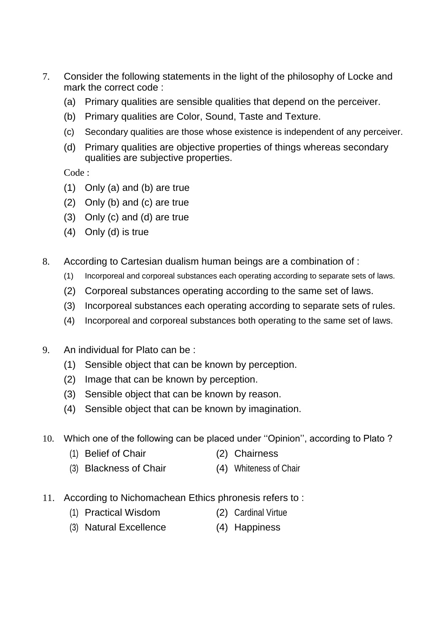- 7. Consider the following statements in the light of the philosophy of Locke and mark the correct code :
	- (a) Primary qualities are sensible qualities that depend on the perceiver.
	- (b) Primary qualities are Color, Sound, Taste and Texture.
	- (c) Secondary qualities are those whose existence is independent of any perceiver.
	- (d) Primary qualities are objective properties of things whereas secondary qualities are subjective properties.

- (1) Only (a) and (b) are true
- (2) Only (b) and (c) are true
- (3) Only (c) and (d) are true
- (4) Only (d) is true
- 8. According to Cartesian dualism human beings are a combination of :
	- (1) Incorporeal and corporeal substances each operating according to separate sets of laws.
	- (2) Corporeal substances operating according to the same set of laws.
	- (3) Incorporeal substances each operating according to separate sets of rules.
	- (4) Incorporeal and corporeal substances both operating to the same set of laws.
- 9. An individual for Plato can be :
	- (1) Sensible object that can be known by perception.
	- (2) Image that can be known by perception.
	- (3) Sensible object that can be known by reason.
	- (4) Sensible object that can be known by imagination.
- 10. Which one of the following can be placed under ''Opinion'', according to Plato ?
	- (1) Belief of Chair (2) Chairness
	- (3) Blackness of Chair (4) Whiteness of Chair
- 11. According to Nichomachean Ethics phronesis refers to :
	- (1) Practical Wisdom (2) Cardinal Virtue
	- (3) Natural Excellence (4) Happiness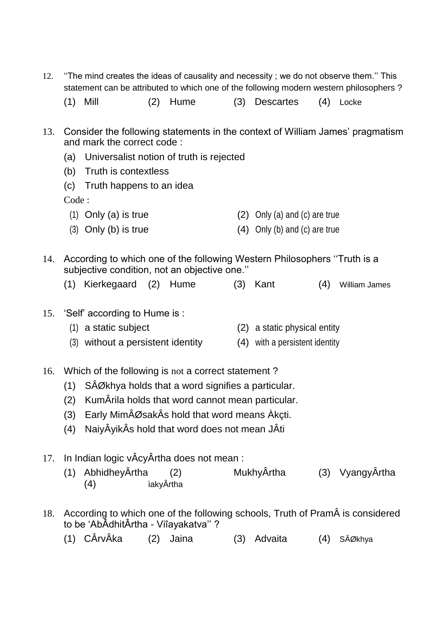- 12. ''The mind creates the ideas of causality and necessity ; we do not observe them.'' This statement can be attributed to which one of the following modern western philosophers ?
	- (1) Mill (2) Hume (3) Descartes (4) Locke
- 13. Consider the following statements in the context of William James' pragmatism and mark the correct code :
	- (a) Universalist notion of truth is rejected
	- (b) Truth is contextless
	- (c) Truth happens to an idea

- (1) Only (a) is true  $(2)$  Only (a) and (c) are true
- (3) Only (b) is true  $(4)$  Only (b) and (c) are true
- 14. According to which one of the following Western Philosophers ''Truth is a subjective condition, not an objective one.''
	- (1) Kierkegaard (2) Hume (3) Kant (4) William James
- 15. 'Self' according to Hume is :
	- (1) a static subject (2) a static physical entity
	- (3) without a persistent identity (4) with a persistent identity
- 16. Which of the following is not a correct statement ?
	- (1) SÂØkhya holds that a word signifies a particular.
	- (2) KumÂrila holds that word cannot mean particular.
	- (3) Early MimÂØsakÂs hold that word means Àkçti.
	- (4) NaiyÂyikÂs hold that word does not mean JÂti
- 17. In Indian logic vÂcyÂrtha does not mean :
	- (1) AbhidheyÂrtha (2) MukhyÂrtha (3) VyangyÂrtha (4) iakyÂrtha
- 18. According to which one of the following schools, Truth of Pram is considered to be 'AbÂdhitÂrtha - Viîayakatva'' ?
	- (1) CÂrvÂka (2) Jaina (3) Advaita (4) SÂØkhya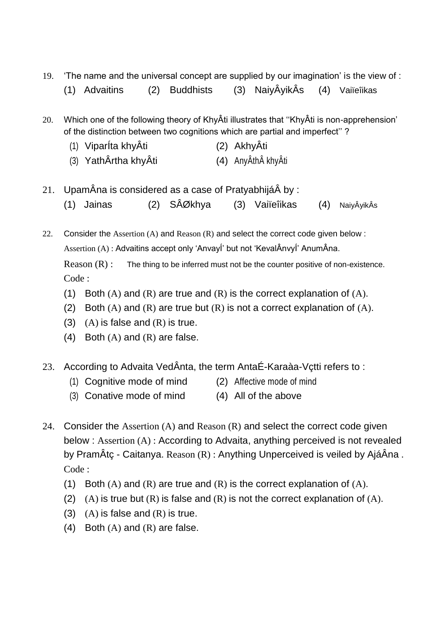- 19. 'The name and the universal concept are supplied by our imagination' is the view of :
	- (1) Advaitins (2) Buddhists (3) NaiyÂyikÂs (4) Vaiïeîikas

20. Which one of the following theory of KhyÂti illustrates that ''KhyÂti is non-apprehension' of the distinction between two cognitions which are partial and imperfect'' ?

- (1) ViparÍta khyÂti (2) AkhyÂti
- (3) YathÂrtha khyÂti (4) AnyÂth khyÂti
- 21. UpamÂna is considered as a case of Pratyabhijá by : (1) Jainas (2) SÂØkhya (3) Vaiïeîikas (4) NaiyÂyikÂs

22. Consider the Assertion  $(A)$  and Reason  $(R)$  and select the correct code given below : Assertion (A) : Advaitins accept only 'AnvayÍ' but not 'KevalÂnvyÍ' AnumÂna.

 $Reason(R):$  The thing to be inferred must not be the counter positive of non-existence. Code :

- (1) Both  $(A)$  and  $(R)$  are true and  $(R)$  is the correct explanation of  $(A)$ .
- (2) Both  $(A)$  and  $(R)$  are true but  $(R)$  is not a correct explanation of  $(A)$ .
- (3)  $(A)$  is false and  $(R)$  is true.
- (4) Both  $(A)$  and  $(R)$  are false.
- 23. According to Advaita VedÂnta, the term AntaÉ-Karaàa-Vçtti refers to :
	- (1) Cognitive mode of mind (2) Affective mode of mind
- - (3) Conative mode of mind (4) All of the above
- 24. Consider the Assertion  $(A)$  and Reason  $(R)$  and select the correct code given below : Assertion (A) : According to Advaita, anything perceived is not revealed by PramÂtç - Caitanya. Reason (R) : Anything Unperceived is veiled by AjáÂna . Code :
	- (1) Both  $(A)$  and  $(R)$  are true and  $(R)$  is the correct explanation of  $(A)$ .
	- (2) (A) is true but  $(R)$  is false and  $(R)$  is not the correct explanation of  $(A)$ .
	- $(3)$   $(A)$  is false and  $(R)$  is true.
	- (4) Both  $(A)$  and  $(R)$  are false.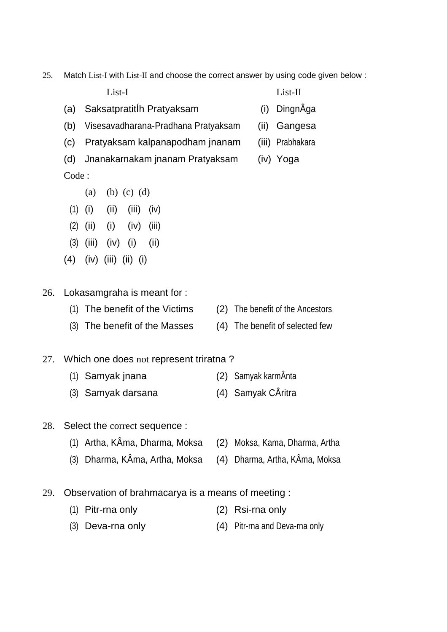25. Match List-I with List-II and choose the correct answer by using code given below :

List-I List-II

- (a) SaksatpratitÍh Pratyaksam (i) DingnÂga
- (b) Visesavadharana-Pradhana Pratyaksam (ii) Gangesa
- (c) Pratyaksam kalpanapodham jnanam (iii) Prabhakara
- (d) Jnanakarnakam jnanam Pratyaksam (iv) Yoga

Code :

- (a) (b) (c) (d)
- $(1)$   $(ii)$   $(iii)$   $(iv)$
- $(2)$  (ii) (i) (iv) (iii)
- (3) (iii) (iv) (i) (ii)
- (4) (iv) (iii) (ii) (i)

26. Lokasamgraha is meant for :

- (1) The benefit of the Victims (2) The benefit of the Ancestors
- (3) The benefit of the Masses (4) The benefit of selected few
- 
- 
- 27. Which one does not represent triratna ?
	- (1) Samyak jnana (2) Samyak karmÂnta
	- (3) Samyak darsana (4) Samyak CÂritra
- 28. Select the correct sequence :
	- (1) Artha, KÂma, Dharma, Moksa (2) Moksa, Kama, Dharma, Artha
	- (3) Dharma, KÂma, Artha, Moksa (4) Dharma, Artha, KÂma, Moksa
- 29. Observation of brahmacarya is a means of meeting :
	- (1) Pitr-rna only (2) Rsi-rna only
	- (3) Deva-rna only (4) Pitr-rna and Deva-rna only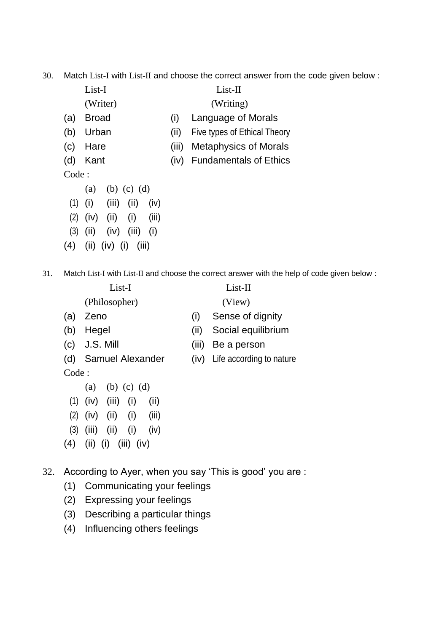30. Match List-I with List-II and choose the correct answer from the code given below :

| List-I    | $List-II$                 |
|-----------|---------------------------|
| (Writer)  | (Writing)                 |
| (a) Broad | <b>Language of Morals</b> |

- 
- (b) Urban (ii) Five types of Ethical Theory
- 
- (c) Hare (iii) Metaphysics of Morals
- 
- (d) Kant (iv) Fundamentals of Ethics

Code :

- (a) (b) (c) (d)
- (1) (i) (iii) (ii) (iv)
- $(2)$   $(iv)$   $(ii)$   $(i)$   $(iii)$
- $(3)$   $(ii)$   $(iv)$   $(iii)$   $(i)$
- (4) (ii) (iv) (i) (iii)
- 31. Match List-I with List-II and choose the correct answer with the help of code given below :

| List-I                                                      |     | List-II                                                                                                                                                                                                                            |  |  |
|-------------------------------------------------------------|-----|------------------------------------------------------------------------------------------------------------------------------------------------------------------------------------------------------------------------------------|--|--|
| (Philosopher)                                               |     | (View)                                                                                                                                                                                                                             |  |  |
| (a) Zeno                                                    | (1) | Sense of dignity                                                                                                                                                                                                                   |  |  |
| (b) Hegel                                                   |     | (ii) Social equilibrium                                                                                                                                                                                                            |  |  |
| $(c)$ J.S. Mill                                             |     | (iii) Be a person                                                                                                                                                                                                                  |  |  |
| $\sqrt{11}$ $\sqrt{21}$ $\sqrt{11}$ $\sqrt{11}$ $\sqrt{11}$ |     | $\mathcal{L}$ , and the contract of the contract of the contract of the contract of the contract of the contract of the contract of the contract of the contract of the contract of the contract of the contract of the contract o |  |  |

- Code :
	- (a) (b) (c) (d)
	- $(1)$   $(iv)$   $(iii)$   $(i)$   $(ii)$
	- $(2)$   $(iv)$   $(ii)$   $(i)$   $(iii)$
- (3) (iii) (ii) (i) (iv)
- (4) (ii) (i) (iii) (iv)
- 32. According to Ayer, when you say 'This is good' you are :
	- (1) Communicating your feelings
	- (2) Expressing your feelings
	- (3) Describing a particular things
	- (4) Influencing others feelings

(d) Samuel Alexander (iv) Life according to nature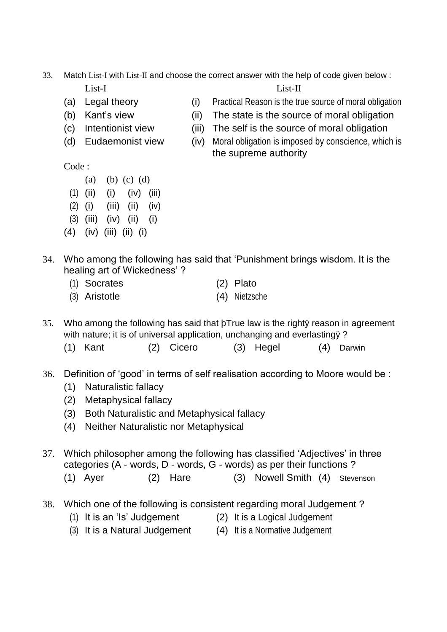33. Match List-I with List-II and choose the correct answer with the help of code given below :

List-I List-II

- 
- 
- 
- 
- (a) Legal theory (i) Practical Reason is the true source of moral obligation (b) Kant's view (ii) The state is the source of moral obligation
- (c) Intentionist view (iii) The self is the source of moral obligation
- (d) Eudaemonist view (iv) Moral obligation is imposed by conscience, which is the supreme authority

- (a) (b) (c) (d)
- $(1)$   $(ii)$   $(i)$   $(iv)$   $(iii)$
- (2) (i) (iii) (ii) (iv)
- $(3)$  (iii) (iv) (ii) (i)
- (4) (iv) (iii) (ii) (i)
- 34. Who among the following has said that 'Punishment brings wisdom. It is the healing art of Wickedness' ?
	- (1) Socrates (2) Plato
	- (3) Aristotle (4) Nietzsche
- 35. Who among the following has said that þTrue law is the rightÿ reason in agreement with nature; it is of universal application, unchanging and everlastingy?
	- (1) Kant (2) Cicero (3) Hegel (4) Darwin
- 36. Definition of 'good' in terms of self realisation according to Moore would be :
	- (1) Naturalistic fallacy
	- (2) Metaphysical fallacy
	- (3) Both Naturalistic and Metaphysical fallacy
	- (4) Neither Naturalistic nor Metaphysical
- 37. Which philosopher among the following has classified 'Adjectives' in three categories (A - words, D - words, G - words) as per their functions ?
	- (1) Ayer (2) Hare (3) Nowell Smith (4) Stevenson
- 38. Which one of the following is consistent regarding moral Judgement ?
	- (1) It is an 'Is' Judgement (2) It is a Logical Judgement
- - (3) It is a Natural Judgement (4) It is a Normative Judgement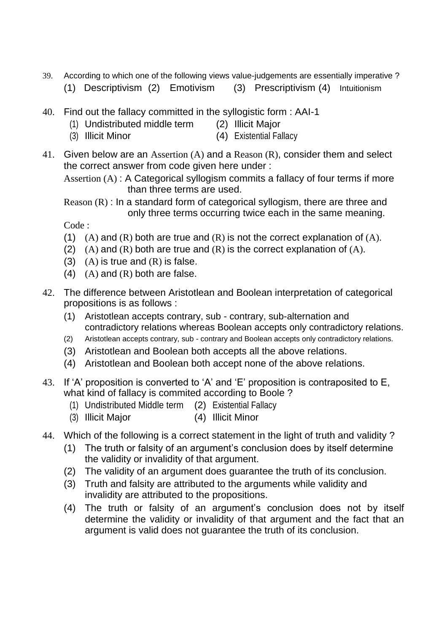- 39. According to which one of the following views value-judgements are essentially imperative ? (1) Descriptivism (2) Emotivism (3) Prescriptivism (4) Intuitionism
- 40. Find out the fallacy committed in the syllogistic form : AAI-1
	- (1) Undistributed middle term (2) Illicit Major
	- (3) Illicit Minor (4) Existential Fallacy
- 41. Given below are an Assertion (A) and a Reason (R), consider them and select the correct answer from code given here under :

Assertion (A) : A Categorical syllogism commits a fallacy of four terms if more than three terms are used.

Reason (R) : In a standard form of categorical syllogism, there are three and only three terms occurring twice each in the same meaning.

- (1) (A) and  $(R)$  both are true and  $(R)$  is not the correct explanation of  $(A)$ .
- (2) (A) and  $(R)$  both are true and  $(R)$  is the correct explanation of  $(A)$ .
- $(3)$   $(A)$  is true and  $(R)$  is false.
- $(A)$   $(A)$  and  $(R)$  both are false.
- 42. The difference between Aristotlean and Boolean interpretation of categorical propositions is as follows :
	- (1) Aristotlean accepts contrary, sub contrary, sub-alternation and contradictory relations whereas Boolean accepts only contradictory relations.
	- (2) Aristotlean accepts contrary, sub contrary and Boolean accepts only contradictory relations.
	- (3) Aristotlean and Boolean both accepts all the above relations.
	- (4) Aristotlean and Boolean both accept none of the above relations.
- 43. If 'A' proposition is converted to 'A' and 'E' proposition is contraposited to E, what kind of fallacy is commited according to Boole ?
	- (1) Undistributed Middle term (2) Existential Fallacy
	- (3) Illicit Major (4) Illicit Minor
- 44. Which of the following is a correct statement in the light of truth and validity ?
	- (1) The truth or falsity of an argument's conclusion does by itself determine the validity or invalidity of that argument.
	- (2) The validity of an argument does guarantee the truth of its conclusion.
	- (3) Truth and falsity are attributed to the arguments while validity and invalidity are attributed to the propositions.
	- (4) The truth or falsity of an argument's conclusion does not by itself determine the validity or invalidity of that argument and the fact that an argument is valid does not guarantee the truth of its conclusion.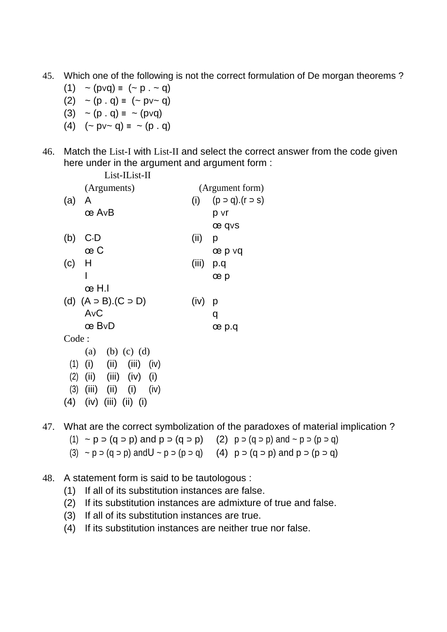- 45. Which one of the following is not the correct formulation of De morgan theorems ?
	- (1) ~ (pvq) ≡ (~ p . ~ q)
	- (2) ~ (p . q) ≡ (~ pv~ q)
	- (3) ~ (p . q)  $\equiv$  ~ (pvq)
	- (4)  $(-\text{pv}~q) \equiv ~ (p . q)$
- 46. Match the List-I with List-II and select the correct answer from the code given here under in the argument and argument form :

|                                       |      |                                                    |             |                                                     |       | (Argument form)   |
|---------------------------------------|------|----------------------------------------------------|-------------|-----------------------------------------------------|-------|-------------------|
| A                                     |      |                                                    |             |                                                     | (i)   | $(p = q) (r = s)$ |
|                                       |      |                                                    |             |                                                     |       | p vr              |
|                                       |      |                                                    |             |                                                     |       | œ qvs             |
| C.D                                   |      |                                                    |             |                                                     | (ii)  | p                 |
|                                       |      |                                                    |             |                                                     |       | œ p vq            |
| H                                     |      |                                                    |             |                                                     | (iii) | p.q               |
| I                                     |      |                                                    |             |                                                     |       | œ p               |
|                                       |      |                                                    |             |                                                     |       |                   |
| (d) $(A \supset B)$ . $(C \supset D)$ |      |                                                    |             |                                                     | (iv)  | р                 |
|                                       |      |                                                    |             |                                                     | q     |                   |
|                                       |      |                                                    |             |                                                     | œ p.q |                   |
| Code:                                 |      |                                                    |             |                                                     |       |                   |
| (a)                                   |      |                                                    |             |                                                     |       |                   |
| (i)                                   | (ii) |                                                    | (iv)        |                                                     |       |                   |
| (ii)                                  |      |                                                    | (i)         |                                                     |       |                   |
| (iii)                                 | (ii) | (i)                                                | (iv)        |                                                     |       |                   |
|                                       |      | œ A∨B<br>œ C<br>œ H.I<br>AvC<br>œ B <sub>V</sub> D | (Arguments) | List-IList-II<br>(b) (c) (d)<br>(iii)<br>(iii) (iv) |       |                   |

- $(4)$   $(iv)$   $(iii)$   $(ii)$   $(i)$
- 47. What are the correct symbolization of the paradoxes of material implication ?
	- (1)  $\sim$  p  $\sim$  (q  $\sim$  p) and p  $\sim$  (q  $\sim$  p) (2) p  $\sim$  (q  $\sim$  p) and  $\sim$  p  $\sim$  (p  $\sim$  q)
	- (3)  $\sim$  p  $\sim$  (q  $\sim$  p) andU  $\sim$  p  $\sim$  (p  $\sim$  q) (4) p  $\sim$  (q  $\sim$  p) and p  $\sim$  (p  $\sim$  q)
- 48. A statement form is said to be tautologous :
	- (1) If all of its substitution instances are false.
	- (2) If its substitution instances are admixture of true and false.
	- (3) If all of its substitution instances are true.
	- (4) If its substitution instances are neither true nor false.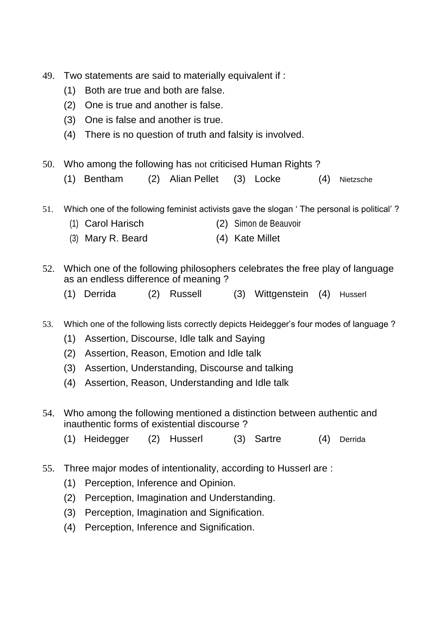- 49. Two statements are said to materially equivalent if :
	- (1) Both are true and both are false.
	- (2) One is true and another is false.
	- (3) One is false and another is true.
	- (4) There is no question of truth and falsity is involved.
- 50. Who among the following has not criticised Human Rights ?
	- (1) Bentham (2) Alian Pellet (3) Locke (4) Nietzsche
- 51. Which one of the following feminist activists gave the slogan ' The personal is political' ?
	- (1) Carol Harisch (2) Simon de Beauvoir
	- (3) Mary R. Beard (4) Kate Millet
- 52. Which one of the following philosophers celebrates the free play of language as an endless difference of meaning ?
	- (1) Derrida (2) Russell (3) Wittgenstein (4) Husserl
- 53. Which one of the following lists correctly depicts Heidegger's four modes of language ?
	- (1) Assertion, Discourse, Idle talk and Saying
	- (2) Assertion, Reason, Emotion and Idle talk
	- (3) Assertion, Understanding, Discourse and talking
	- (4) Assertion, Reason, Understanding and Idle talk
- 54. Who among the following mentioned a distinction between authentic and inauthentic forms of existential discourse ?
	- (1) Heidegger (2) Husserl (3) Sartre (4) Derrida
- 55. Three major modes of intentionality, according to Husserl are :
	- (1) Perception, Inference and Opinion.
	- (2) Perception, Imagination and Understanding.
	- (3) Perception, Imagination and Signification.
	- (4) Perception, Inference and Signification.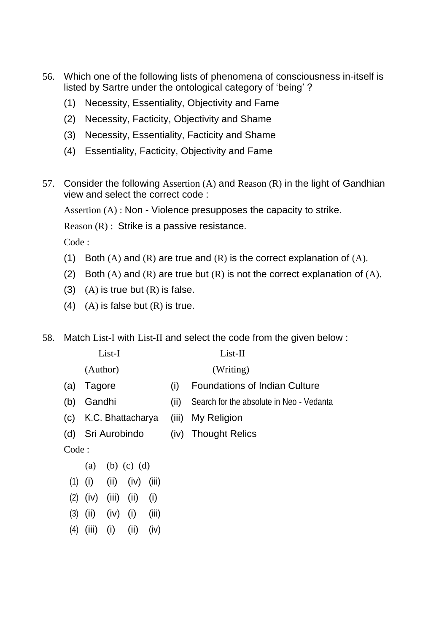- 56. Which one of the following lists of phenomena of consciousness in-itself is listed by Sartre under the ontological category of 'being' ?
	- (1) Necessity, Essentiality, Objectivity and Fame
	- (2) Necessity, Facticity, Objectivity and Shame
	- (3) Necessity, Essentiality, Facticity and Shame
	- (4) Essentiality, Facticity, Objectivity and Fame
- 57. Consider the following Assertion (A) and Reason (R) in the light of Gandhian view and select the correct code :

Assertion (A) : Non - Violence presupposes the capacity to strike.

Reason (R) : Strike is a passive resistance.

Code :

- (1) Both  $(A)$  and  $(R)$  are true and  $(R)$  is the correct explanation of  $(A)$ .
- (2) Both  $(A)$  and  $(R)$  are true but  $(R)$  is not the correct explanation of  $(A)$ .
- (3)  $(A)$  is true but  $(R)$  is false.
- $(4)$   $(A)$  is false but  $(R)$  is true.
- 58. Match List-I with List-II and select the code from the given below :

|       |                       | List-I |             |                                          |      | List-II               |  |  |
|-------|-----------------------|--------|-------------|------------------------------------------|------|-----------------------|--|--|
|       | (Author)              |        |             |                                          |      | (Writing)             |  |  |
| (a)   | Tagore                |        | (i)         | <b>Foundations of Indian Culture</b>     |      |                       |  |  |
| (b)   | Gandhi                |        | (ii)        | Search for the absolute in Neo - Vedanta |      |                       |  |  |
|       | (c) K.C. Bhattacharya |        | (iii)       | My Religion                              |      |                       |  |  |
|       | (d) Sri Aurobindo     |        |             |                                          | (iv) | <b>Thought Relics</b> |  |  |
| Code: |                       |        |             |                                          |      |                       |  |  |
|       | (a)                   |        | (b) (c) (d) |                                          |      |                       |  |  |
| (1)   | (i)                   | (ii)   | (iv)        | (iii)                                    |      |                       |  |  |
| (2)   | (iv)                  | (iii)  | (ii)        | (i)                                      |      |                       |  |  |
| (3)   | (ii)                  | (iv)   | (i)         | (iii)                                    |      |                       |  |  |
|       |                       |        |             |                                          |      |                       |  |  |

 $(4)$  (iii) (i) (ii) (iv)  $\mathcal{L} \left( \mathcal{L} \right)$  Paper-IIII  $\mathcal{L} \left( \mathcal{L} \right)$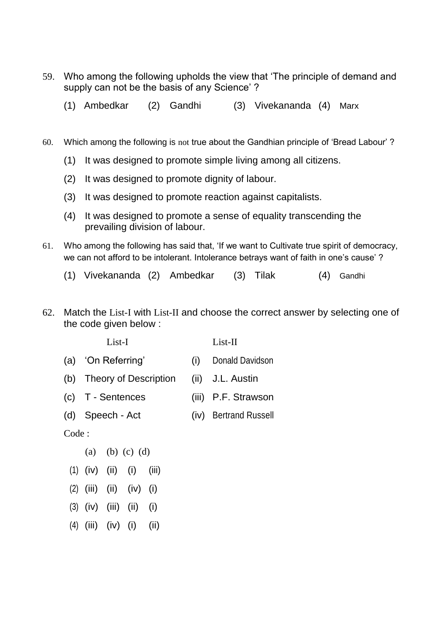- 59. Who among the following upholds the view that 'The principle of demand and supply can not be the basis of any Science' ?
	- (1) Ambedkar (2) Gandhi (3) Vivekananda (4) Marx
- 60. Which among the following is not true about the Gandhian principle of 'Bread Labour' ?
	- (1) It was designed to promote simple living among all citizens.
	- (2) It was designed to promote dignity of labour.
	- (3) It was designed to promote reaction against capitalists.
	- (4) It was designed to promote a sense of equality transcending the prevailing division of labour.
- 61. Who among the following has said that, 'If we want to Cultivate true spirit of democracy, we can not afford to be intolerant. Intolerance betrays want of faith in one's cause' ?
	- (1) Vivekananda (2) Ambedkar (3) Tilak (4) Gandhi
- 62. Match the List-I with List-II and choose the correct answer by selecting one of the code given below :

| List-I | List-II |
|--------|---------|
|        |         |

- (a) 'On Referring' (i) Donald Davidson
- (b) Theory of Description (ii) J.L. Austin
- (c) T Sentences (iii) P.F. Strawson
- (d) Speech Act (iv) Bertrand Russell

- (a) (b) (c) (d)
- $(1)$   $(iv)$   $(ii)$   $(i)$   $(iii)$
- $(2)$  (iii) (ii) (iv) (i)
- (3) (iv) (iii) (ii) (i)
- $(4)$  (iii) (iv) (i) (ii)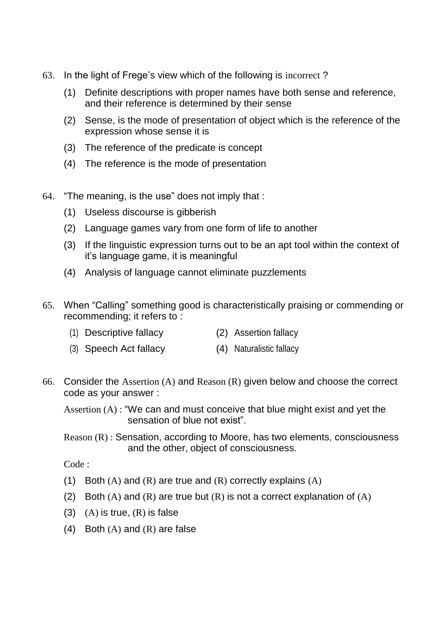- 63. In the light of Frege's view which of the following is incorrect ?
	- (1) Definite descriptions with proper names have both sense and reference, and their reference is determined by their sense
	- (2) Sense, is the mode of presentation of object which is the reference of the expression whose sense it is
	- (3) The reference of the predicate is concept
	- (4) The reference is the mode of presentation
- 64. "The meaning, is the use" does not imply that :
	- (1) Useless discourse is gibberish
	- (2) Language games vary from one form of life to another
	- (3) If the linguistic expression turns out to be an apt tool within the context of it's language game, it is meaningful
	- (4) Analysis of language cannot eliminate puzzlements
- 65. When "Calling" something good is characteristically praising or commending or recommending; it refers to :
	- (1) Descriptive fallacy (2) Assertion fallacy
	- (3) Speech Act fallacy (4) Naturalistic fallacy
- 66. Consider the Assertion (A) and Reason (R) given below and choose the correct code as your answer :

Assertion (A) : "We can and must conceive that blue might exist and yet the sensation of blue not exist".

Reason (R) : Sensation, according to Moore, has two elements, consciousness and the other, object of consciousness.

- (1) Both  $(A)$  and  $(R)$  are true and  $(R)$  correctly explains  $(A)$
- (2) Both  $(A)$  and  $(R)$  are true but  $(R)$  is not a correct explanation of  $(A)$
- $(3)$   $(A)$  is true,  $(R)$  is false
- $(4)$  Both  $(A)$  and  $(R)$  are false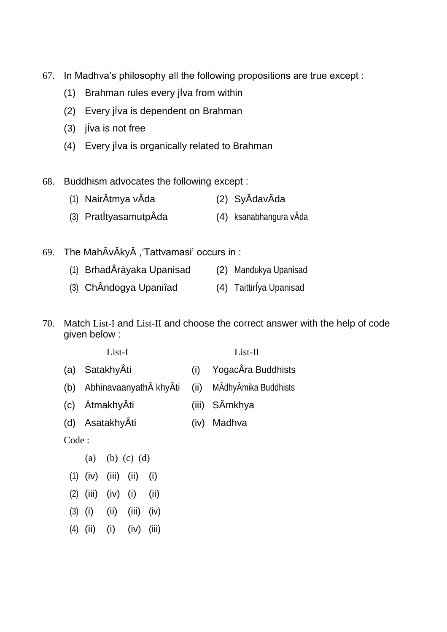- 67. In Madhva's philosophy all the following propositions are true except :
	- (1) Brahman rules every jÍva from within
	- (2) Every jÍva is dependent on Brahman
	- (3) jÍva is not free
	- (4) Every jÍva is organically related to Brahman
- 68. Buddhism advocates the following except :
	- (1) NairÂtmya vÂda (2) SyÂdavÂda
	- (3) PratÍtyasamutpÂda (4) ksanabhangura vÂda
- 69. The MahÂvÂkyÂ, 'Tattvamasi' occurs in :
	- (1) BrhadÂràyaka Upanisad (2) Mandukya Upanisad
	- (3) ChÂndogya Upaniîad (4) TaittirÍya Upanisad

70. Match List-I and List-II and choose the correct answer with the help of code given below :

| List-I                                              | List-II            |
|-----------------------------------------------------|--------------------|
| (a) SatakhyÂti                                      | YogacÂra Buddhists |
| (b) Abhinavaanyath khyÂti (ii) MÂdhyÂmika Buddhists |                    |
| (c) ÀtmakhyÂti                                      | (iii) SÂmkhya      |

- (d) AsatakhyÂti (iv) Madhva
- 

- (a) (b) (c) (d)
- $(1)$   $(iv)$   $(iii)$   $(ii)$   $(i)$
- $(2)$  (iii)  $(iv)$  (i) (ii)
- $(3)$   $(ii)$   $(iii)$   $(iv)$
- $(4)$  (ii) (i) (iv) (iii)